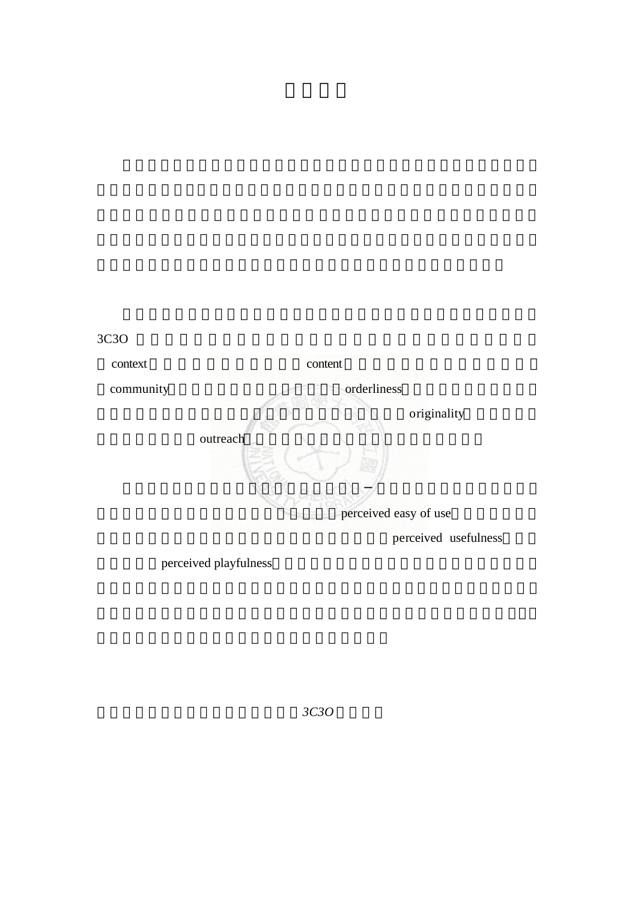

perceived playfulness

關鍵字:女性網站,科技接受模型,*3C3O* 網站特性